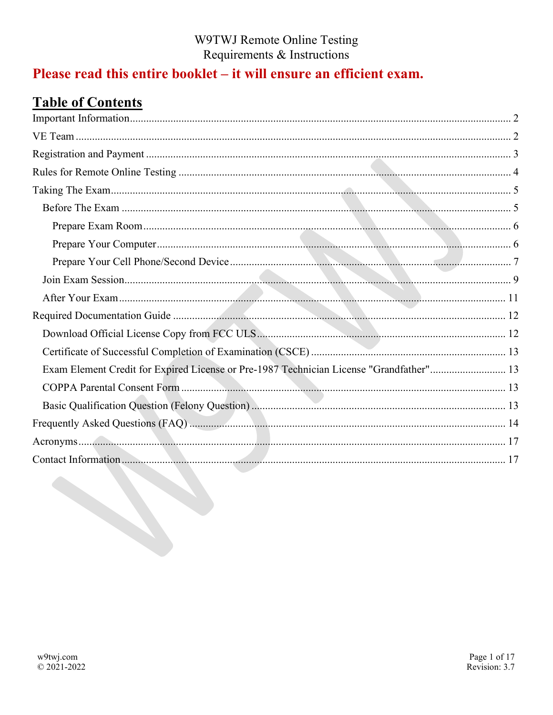# Please read this entire booklet – it will ensure an efficient exam.

# **Table of Contents**

| Exam Element Credit for Expired License or Pre-1987 Technician License "Grandfather" 13 |  |
|-----------------------------------------------------------------------------------------|--|
|                                                                                         |  |
|                                                                                         |  |
|                                                                                         |  |
|                                                                                         |  |
|                                                                                         |  |
|                                                                                         |  |
|                                                                                         |  |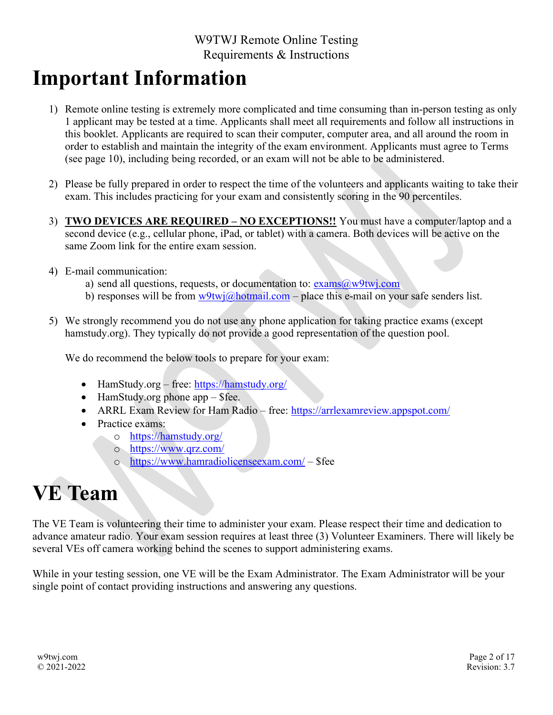# Important Information

- 1) Remote online testing is extremely more complicated and time consuming than in-person testing as only 1 applicant may be tested at a time. Applicants shall meet all requirements and follow all instructions in this booklet. Applicants are required to scan their computer, computer area, and all around the room in order to establish and maintain the integrity of the exam environment. Applicants must agree to Terms (see page 10), including being recorded, or an exam will not be able to be administered.
- 2) Please be fully prepared in order to respect the time of the volunteers and applicants waiting to take their exam. This includes practicing for your exam and consistently scoring in the 90 percentiles.
- 3) TWO DEVICES ARE REQUIRED NO EXCEPTIONS!! You must have a computer/laptop and a second device (e.g., cellular phone, iPad, or tablet) with a camera. Both devices will be active on the same Zoom link for the entire exam session.
- 4) E-mail communication:
	- a) send all questions, requests, or documentation to:  $exams@w9twi.com$
	- b) responses will be from  $w9twj@hotmail.com$  place this e-mail on your safe senders list.
- 5) We strongly recommend you do not use any phone application for taking practice exams (except hamstudy.org). They typically do not provide a good representation of the question pool.

We do recommend the below tools to prepare for your exam:

- HamStudy.org free: https://hamstudy.org/
- $\bullet$  HamStudy.org phone app \$fee.
- ARRL Exam Review for Ham Radio free: https://arrlexamreview.appspot.com/
- Practice exams:
	- o https://hamstudy.org/
	- o https://www.qrz.com/
	- o https://www.hamradiolicenseexam.com/ \$fee

# VE Team

The VE Team is volunteering their time to administer your exam. Please respect their time and dedication to advance amateur radio. Your exam session requires at least three (3) Volunteer Examiners. There will likely be several VEs off camera working behind the scenes to support administering exams.

While in your testing session, one VE will be the Exam Administrator. The Exam Administrator will be your single point of contact providing instructions and answering any questions.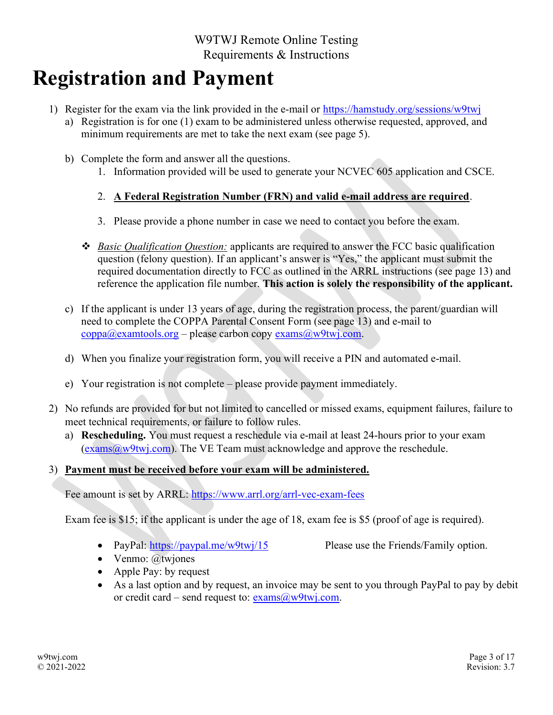# Registration and Payment

- 1) Register for the exam via the link provided in the e-mail or https://hamstudy.org/sessions/w9twj
	- a) Registration is for one (1) exam to be administered unless otherwise requested, approved, and minimum requirements are met to take the next exam (see page 5).
	- b) Complete the form and answer all the questions.
		- 1. Information provided will be used to generate your NCVEC 605 application and CSCE.

### 2. A Federal Registration Number (FRN) and valid e-mail address are required.

- 3. Please provide a phone number in case we need to contact you before the exam.
- $\bullet$  Basic Qualification Question: applicants are required to answer the FCC basic qualification question (felony question). If an applicant's answer is "Yes," the applicant must submit the required documentation directly to FCC as outlined in the ARRL instructions (see page 13) and reference the application file number. This action is solely the responsibility of the applicant.
- c) If the applicant is under 13 years of age, during the registration process, the parent/guardian will need to complete the COPPA Parental Consent Form (see page 13) and e-mail to  $\mathbf{c} \mathbf{oppa}(\omega \mathbf{examtools}.\mathbf{org}-\mathbf{please} \ \mathbf{carbon} \ \mathbf{copy} \ \mathbf{exams}(\omega \mathbf{w9tw} \mathbf{iv}.\mathbf{com}).$
- d) When you finalize your registration form, you will receive a PIN and automated e-mail.
- e) Your registration is not complete please provide payment immediately.
- 2) No refunds are provided for but not limited to cancelled or missed exams, equipment failures, failure to meet technical requirements, or failure to follow rules.
	- a) Rescheduling. You must request a reschedule via e-mail at least 24-hours prior to your exam  $(exams@w9twj.com)$ . The VE Team must acknowledge and approve the reschedule.

### 3) Payment must be received before your exam will be administered.

Fee amount is set by ARRL: https://www.arrl.org/arrl-vec-exam-fees

Exam fee is \$15; if the applicant is under the age of 18, exam fee is \$5 (proof of age is required).

• PayPal: https://paypal.me/w9twj/15 Please use the Friends/Family option.

- $\bullet$  Venmo:  $@twin$
- Apple Pay: by request
- As a last option and by request, an invoice may be sent to you through PayPal to pay by debit or credit card – send request to:  $exams@w9twj.com$ .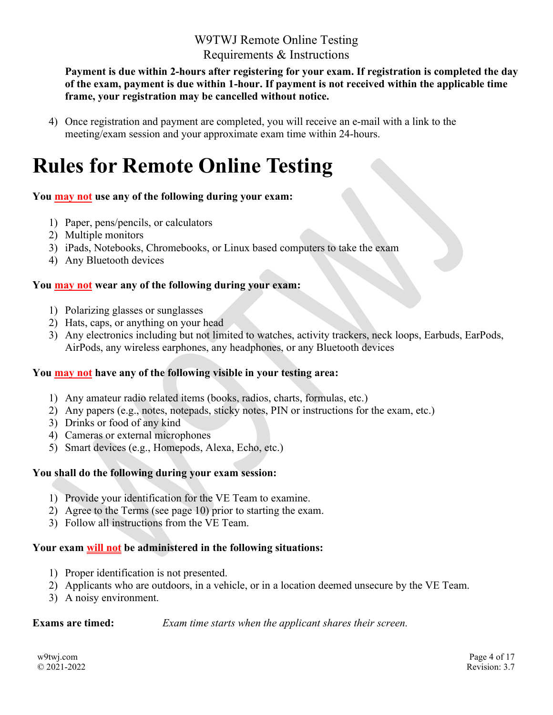Payment is due within 2-hours after registering for your exam. If registration is completed the day of the exam, payment is due within 1-hour. If payment is not received within the applicable time frame, your registration may be cancelled without notice.

4) Once registration and payment are completed, you will receive an e-mail with a link to the meeting/exam session and your approximate exam time within 24-hours.

# Rules for Remote Online Testing

### You **may not** use any of the following during your exam:

- 1) Paper, pens/pencils, or calculators
- 2) Multiple monitors
- 3) iPads, Notebooks, Chromebooks, or Linux based computers to take the exam
- 4) Any Bluetooth devices

### You **may not wear any of the following during your exam:**

- 1) Polarizing glasses or sunglasses
- 2) Hats, caps, or anything on your head
- 3) Any electronics including but not limited to watches, activity trackers, neck loops, Earbuds, EarPods, AirPods, any wireless earphones, any headphones, or any Bluetooth devices

### You may not have any of the following visible in your testing area:

- 1) Any amateur radio related items (books, radios, charts, formulas, etc.)
- 2) Any papers (e.g., notes, notepads, sticky notes, PIN or instructions for the exam, etc.)
- 3) Drinks or food of any kind
- 4) Cameras or external microphones
- 5) Smart devices (e.g., Homepods, Alexa, Echo, etc.)

### You shall do the following during your exam session:

- 1) Provide your identification for the VE Team to examine.
- 2) Agree to the Terms (see page 10) prior to starting the exam.
- 3) Follow all instructions from the VE Team.

### Your exam will not be administered in the following situations:

- 1) Proper identification is not presented.
- 2) Applicants who are outdoors, in a vehicle, or in a location deemed unsecure by the VE Team.
- 3) A noisy environment.

**Exams are timed:** Exam time starts when the applicant shares their screen.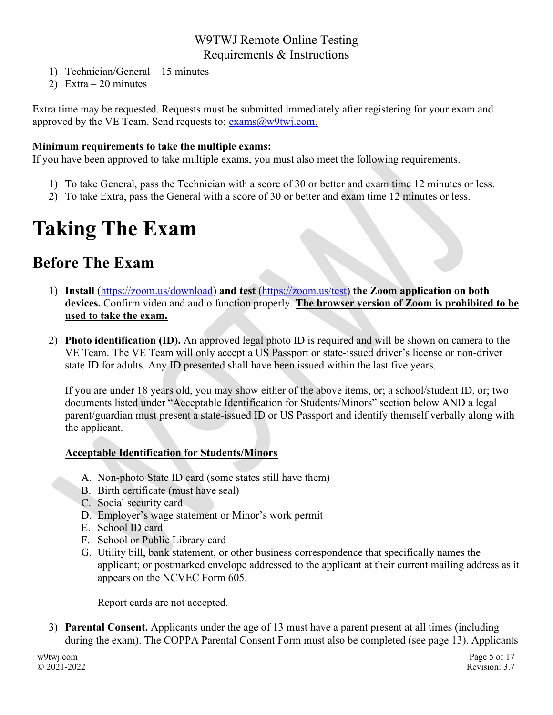- 1) Technician/General 15 minutes
- 2) Extra 20 minutes

Extra time may be requested. Requests must be submitted immediately after registering for your exam and approved by the VE Team. Send requests to:  $\frac{\text{examples}}{\text{examples}}$   $\frac{a}{w}$   $\frac{y}{w}$  .com.

#### Minimum requirements to take the multiple exams:

If you have been approved to take multiple exams, you must also meet the following requirements.

- 1) To take General, pass the Technician with a score of 30 or better and exam time 12 minutes or less.
- 2) To take Extra, pass the General with a score of 30 or better and exam time 12 minutes or less.

# Taking The Exam

# Before The Exam

- 1) Install (https://zoom.us/download) and test (https://zoom.us/test) the Zoom application on both devices. Confirm video and audio function properly. The browser version of Zoom is prohibited to be used to take the exam.
- 2) Photo identification (ID). An approved legal photo ID is required and will be shown on camera to the VE Team. The VE Team will only accept a US Passport or state-issued driver's license or non-driver state ID for adults. Any ID presented shall have been issued within the last five years.

If you are under 18 years old, you may show either of the above items, or; a school/student ID, or; two documents listed under "Acceptable Identification for Students/Minors" section below AND a legal parent/guardian must present a state-issued ID or US Passport and identify themself verbally along with the applicant.

### Acceptable Identification for Students/Minors

- A. Non-photo State ID card (some states still have them)
- B. Birth certificate (must have seal)
- C. Social security card
- D. Employer's wage statement or Minor's work permit
- E. School ID card
- F. School or Public Library card
- G. Utility bill, bank statement, or other business correspondence that specifically names the applicant; or postmarked envelope addressed to the applicant at their current mailing address as it appears on the NCVEC Form 605.

Report cards are not accepted.

3) Parental Consent. Applicants under the age of 13 must have a parent present at all times (including during the exam). The COPPA Parental Consent Form must also be completed (see page 13). Applicants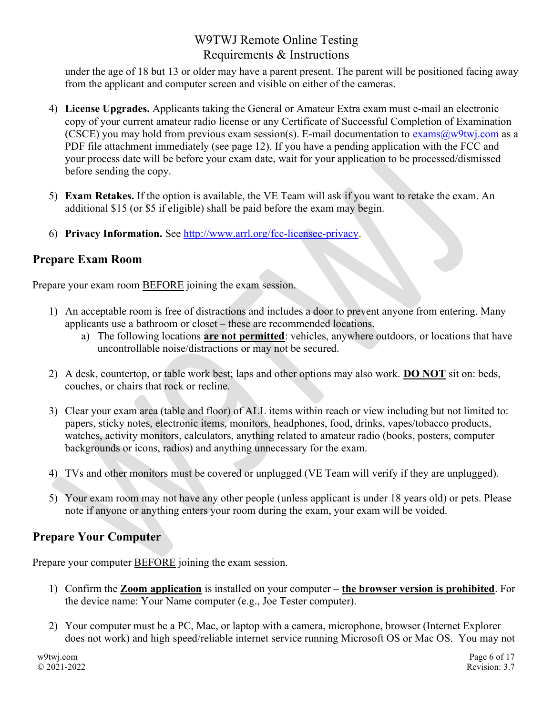under the age of 18 but 13 or older may have a parent present. The parent will be positioned facing away from the applicant and computer screen and visible on either of the cameras.

- 4) License Upgrades. Applicants taking the General or Amateur Extra exam must e-mail an electronic copy of your current amateur radio license or any Certificate of Successful Completion of Examination (CSCE) you may hold from previous exam session(s). E-mail documentation to  $\overline{\text{exams}(a)}$ w9twj.com as a PDF file attachment immediately (see page 12). If you have a pending application with the FCC and your process date will be before your exam date, wait for your application to be processed/dismissed before sending the copy.
- 5) Exam Retakes. If the option is available, the VE Team will ask if you want to retake the exam. An additional \$15 (or \$5 if eligible) shall be paid before the exam may begin.
- 6) Privacy Information. See http://www.arrl.org/fcc-licensee-privacy.

# Prepare Exam Room

Prepare your exam room BEFORE joining the exam session.

- 1) An acceptable room is free of distractions and includes a door to prevent anyone from entering. Many applicants use a bathroom or closet – these are recommended locations.
	- a) The following locations are not permitted: vehicles, anywhere outdoors, or locations that have uncontrollable noise/distractions or may not be secured.
- 2) A desk, countertop, or table work best; laps and other options may also work. DO NOT sit on: beds, couches, or chairs that rock or recline.
- 3) Clear your exam area (table and floor) of ALL items within reach or view including but not limited to: papers, sticky notes, electronic items, monitors, headphones, food, drinks, vapes/tobacco products, watches, activity monitors, calculators, anything related to amateur radio (books, posters, computer backgrounds or icons, radios) and anything unnecessary for the exam.
- 4) TVs and other monitors must be covered or unplugged (VE Team will verify if they are unplugged).
- 5) Your exam room may not have any other people (unless applicant is under 18 years old) or pets. Please note if anyone or anything enters your room during the exam, your exam will be voided.

# Prepare Your Computer

Prepare your computer BEFORE joining the exam session.

- 1) Confirm the Zoom application is installed on your computer the browser version is prohibited. For the device name: Your Name computer (e.g., Joe Tester computer).
- 2) Your computer must be a PC, Mac, or laptop with a camera, microphone, browser (Internet Explorer does not work) and high speed/reliable internet service running Microsoft OS or Mac OS. You may not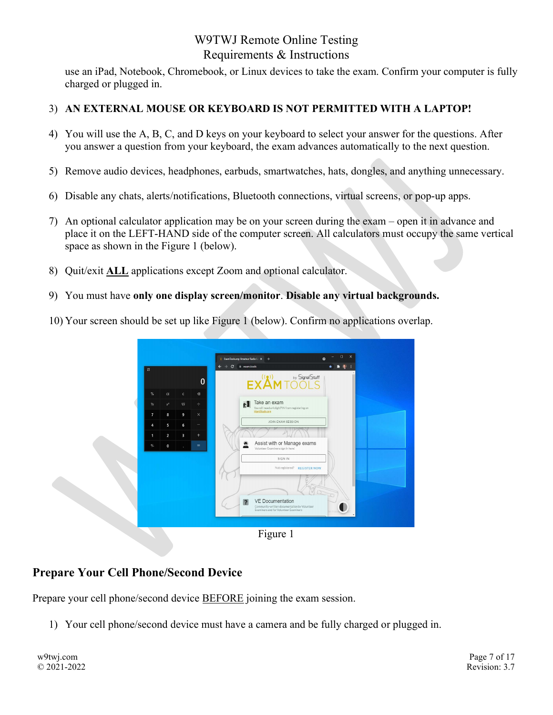use an iPad, Notebook, Chromebook, or Linux devices to take the exam. Confirm your computer is fully charged or plugged in.

## 3) AN EXTERNAL MOUSE OR KEYBOARD IS NOT PERMITTED WITH A LAPTOP!

- 4) You will use the A, B, C, and D keys on your keyboard to select your answer for the questions. After you answer a question from your keyboard, the exam advances automatically to the next question.
- 5) Remove audio devices, headphones, earbuds, smartwatches, hats, dongles, and anything unnecessary.
- 6) Disable any chats, alerts/notifications, Bluetooth connections, virtual screens, or pop-up apps.
- 7) An optional calculator application may be on your screen during the exam open it in advance and place it on the LEFT-HAND side of the computer screen. All calculators must occupy the same vertical space as shown in the Figure 1 (below).
- 8) Quit/exit ALL applications except Zoom and optional calculator.
- 9) You must have only one display screen/monitor. Disable any virtual backgrounds.
- 10) Your screen should be set up like Figure 1 (below). Confirm no applications overlap.



Figure 1

## Prepare Your Cell Phone/Second Device

Prepare your cell phone/second device **BEFORE** joining the exam session.

1) Your cell phone/second device must have a camera and be fully charged or plugged in.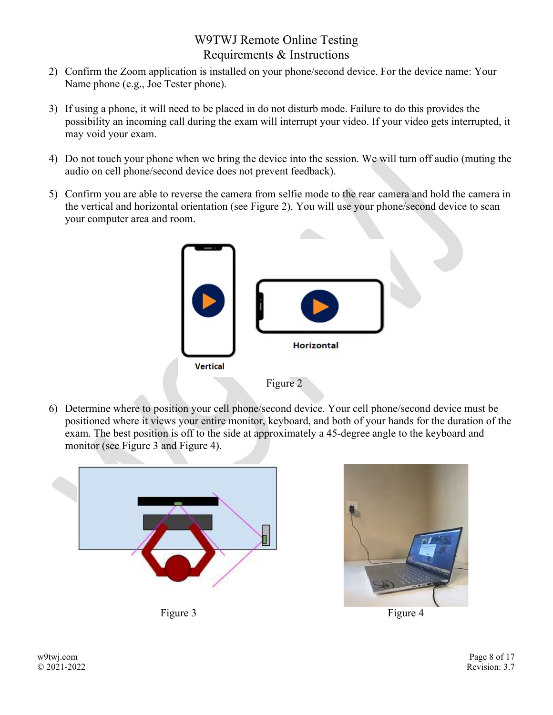- 2) Confirm the Zoom application is installed on your phone/second device. For the device name: Your Name phone (e.g., Joe Tester phone).
- 3) If using a phone, it will need to be placed in do not disturb mode. Failure to do this provides the possibility an incoming call during the exam will interrupt your video. If your video gets interrupted, it may void your exam.
- 4) Do not touch your phone when we bring the device into the session. We will turn off audio (muting the audio on cell phone/second device does not prevent feedback).
- 5) Confirm you are able to reverse the camera from selfie mode to the rear camera and hold the camera in the vertical and horizontal orientation (see Figure 2). You will use your phone/second device to scan your computer area and room.



6) Determine where to position your cell phone/second device. Your cell phone/second device must be positioned where it views your entire monitor, keyboard, and both of your hands for the duration of the exam. The best position is off to the side at approximately a 45-degree angle to the keyboard and monitor (see Figure 3 and Figure 4).





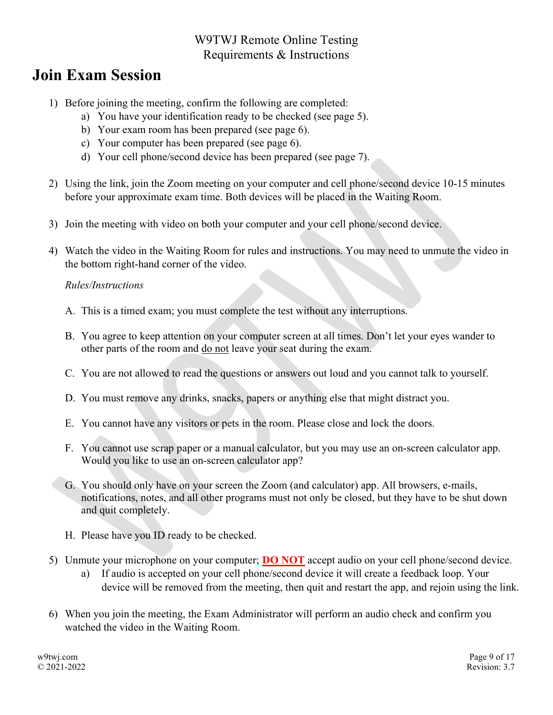# Join Exam Session

- 1) Before joining the meeting, confirm the following are completed:
	- a) You have your identification ready to be checked (see page 5).
	- b) Your exam room has been prepared (see page 6).
	- c) Your computer has been prepared (see page 6).
	- d) Your cell phone/second device has been prepared (see page 7).
- 2) Using the link, join the Zoom meeting on your computer and cell phone/second device 10-15 minutes before your approximate exam time. Both devices will be placed in the Waiting Room.
- 3) Join the meeting with video on both your computer and your cell phone/second device.
- 4) Watch the video in the Waiting Room for rules and instructions. You may need to unmute the video in the bottom right-hand corner of the video.

### Rules/Instructions

- A. This is a timed exam; you must complete the test without any interruptions.
- B. You agree to keep attention on your computer screen at all times. Don't let your eyes wander to other parts of the room and do not leave your seat during the exam.
- C. You are not allowed to read the questions or answers out loud and you cannot talk to yourself.
- D. You must remove any drinks, snacks, papers or anything else that might distract you.
- E. You cannot have any visitors or pets in the room. Please close and lock the doors.
- F. You cannot use scrap paper or a manual calculator, but you may use an on-screen calculator app. Would you like to use an on-screen calculator app?
- G. You should only have on your screen the Zoom (and calculator) app. All browsers, e-mails, notifications, notes, and all other programs must not only be closed, but they have to be shut down and quit completely.
- H. Please have you ID ready to be checked.
- 5) Unmute your microphone on your computer; **DO NOT** accept audio on your cell phone/second device.
	- a) If audio is accepted on your cell phone/second device it will create a feedback loop. Your device will be removed from the meeting, then quit and restart the app, and rejoin using the link.
- 6) When you join the meeting, the Exam Administrator will perform an audio check and confirm you watched the video in the Waiting Room.

w9twj.com © 2021-2022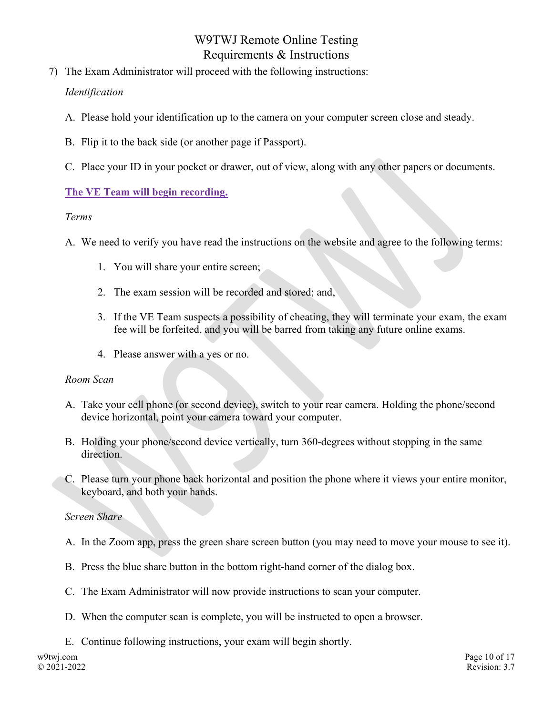- 7) The Exam Administrator will proceed with the following instructions: Identification
	- A. Please hold your identification up to the camera on your computer screen close and steady.
	- B. Flip it to the back side (or another page if Passport).
	- C. Place your ID in your pocket or drawer, out of view, along with any other papers or documents.

### The VE Team will begin recording.

#### Terms

- A. We need to verify you have read the instructions on the website and agree to the following terms:
	- 1. You will share your entire screen;
	- 2. The exam session will be recorded and stored; and,
	- 3. If the VE Team suspects a possibility of cheating, they will terminate your exam, the exam fee will be forfeited, and you will be barred from taking any future online exams.
	- 4. Please answer with a yes or no.

### Room Scan

- A. Take your cell phone (or second device), switch to your rear camera. Holding the phone/second device horizontal, point your camera toward your computer.
- B. Holding your phone/second device vertically, turn 360-degrees without stopping in the same direction.
- C. Please turn your phone back horizontal and position the phone where it views your entire monitor, keyboard, and both your hands.

### Screen Share

- A. In the Zoom app, press the green share screen button (you may need to move your mouse to see it).
- B. Press the blue share button in the bottom right-hand corner of the dialog box.
- C. The Exam Administrator will now provide instructions to scan your computer.
- D. When the computer scan is complete, you will be instructed to open a browser.
- E. Continue following instructions, your exam will begin shortly.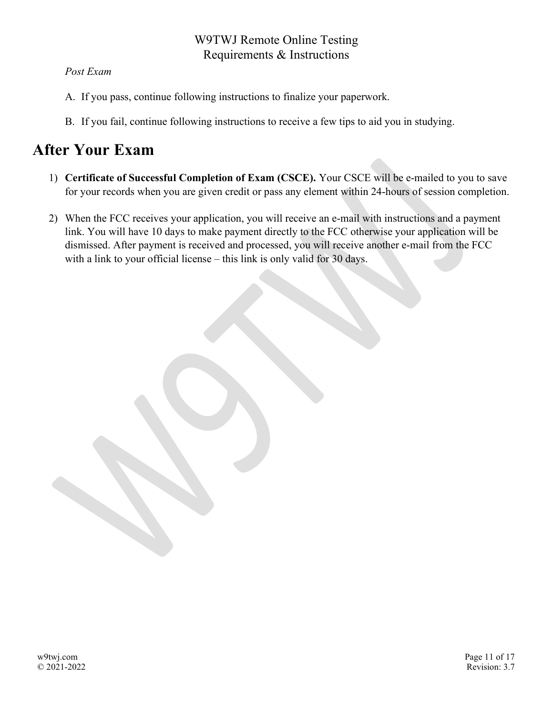## Post Exam

- A. If you pass, continue following instructions to finalize your paperwork.
- B. If you fail, continue following instructions to receive a few tips to aid you in studying.

# After Your Exam

- 1) Certificate of Successful Completion of Exam (CSCE). Your CSCE will be e-mailed to you to save for your records when you are given credit or pass any element within 24-hours of session completion.
- 2) When the FCC receives your application, you will receive an e-mail with instructions and a payment link. You will have 10 days to make payment directly to the FCC otherwise your application will be dismissed. After payment is received and processed, you will receive another e-mail from the FCC with a link to your official license – this link is only valid for 30 days.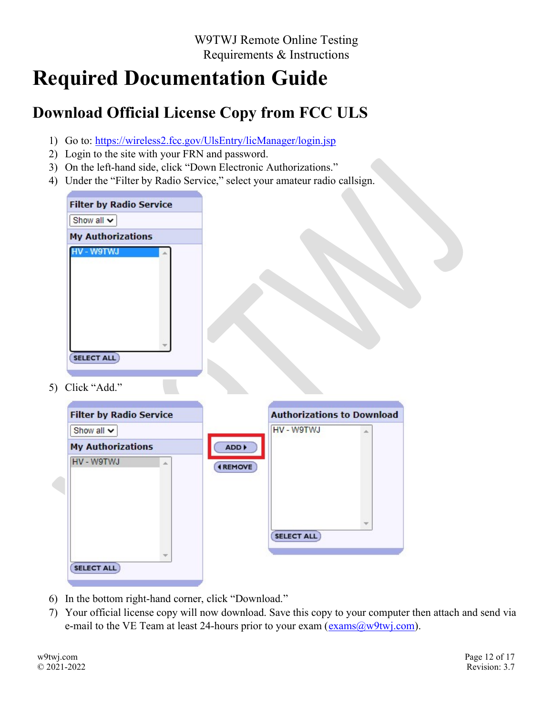# Required Documentation Guide

# Download Official License Copy from FCC ULS

- 1) Go to: https://wireless2.fcc.gov/UlsEntry/licManager/login.jsp
- 2) Login to the site with your FRN and password.
- 3) On the left-hand side, click "Down Electronic Authorizations."
- 4) Under the "Filter by Radio Service," select your amateur radio callsign.

| <b>Filter by Radio Service</b> |  |
|--------------------------------|--|
| Show all v                     |  |
| <b>My Authorizations</b>       |  |
| W9TWJ                          |  |
|                                |  |
|                                |  |
|                                |  |
|                                |  |
|                                |  |
|                                |  |
| <b>SELECT ALL</b>              |  |

5) Click "Add."

| HV - W9TWJ<br>业   |
|-------------------|
|                   |
| ADD               |
| <b>4 REMOVE</b>   |
|                   |
|                   |
| v                 |
| <b>SELECT ALL</b> |
|                   |
|                   |

- 6) In the bottom right-hand corner, click "Download."
- 7) Your official license copy will now download. Save this copy to your computer then attach and send via e-mail to the VE Team at least 24-hours prior to your exam ( $\frac{\text{exams}(a)}{w}\text{ytwj.com}$ ).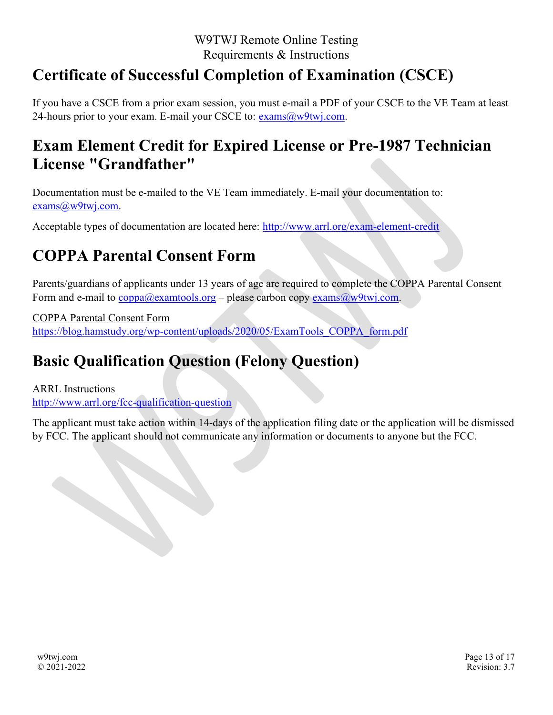# Certificate of Successful Completion of Examination (CSCE)

If you have a CSCE from a prior exam session, you must e-mail a PDF of your CSCE to the VE Team at least 24-hours prior to your exam. E-mail your CSCE to:  $exams@w9twj.com$ .

# Exam Element Credit for Expired License or Pre-1987 Technician License "Grandfather"

Documentation must be e-mailed to the VE Team immediately. E-mail your documentation to: exams@w9twj.com.

Acceptable types of documentation are located here: http://www.arrl.org/exam-element-credit

# COPPA Parental Consent Form

Parents/guardians of applicants under 13 years of age are required to complete the COPPA Parental Consent Form and e-mail to  $\overline{coppa}$  (*Q*) examtools.org – please carbon copy exams (*Q*) w $9$ twj.com.

COPPA Parental Consent Form https://blog.hamstudy.org/wp-content/uploads/2020/05/ExamTools\_COPPA\_form.pdf

# Basic Qualification Question (Felony Question)

ARRL Instructions http://www.arrl.org/fcc-qualification-question

The applicant must take action within 14-days of the application filing date or the application will be dismissed by FCC. The applicant should not communicate any information or documents to anyone but the FCC.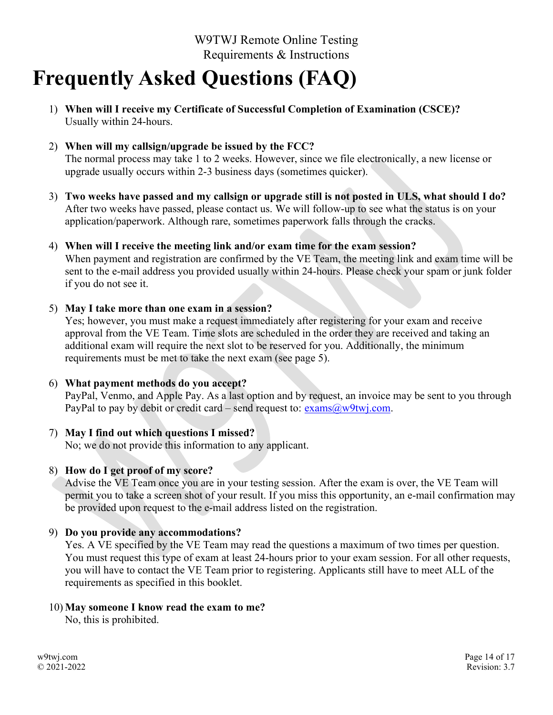# Frequently Asked Questions (FAQ)

- 1) When will I receive my Certificate of Successful Completion of Examination (CSCE)? Usually within 24-hours.
- 2) When will my callsign/upgrade be issued by the FCC? The normal process may take 1 to 2 weeks. However, since we file electronically, a new license or upgrade usually occurs within 2-3 business days (sometimes quicker).
- 3) Two weeks have passed and my callsign or upgrade still is not posted in ULS, what should I do? After two weeks have passed, please contact us. We will follow-up to see what the status is on your application/paperwork. Although rare, sometimes paperwork falls through the cracks.
- 4) When will I receive the meeting link and/or exam time for the exam session? When payment and registration are confirmed by the VE Team, the meeting link and exam time will be sent to the e-mail address you provided usually within 24-hours. Please check your spam or junk folder if you do not see it.

#### 5) May I take more than one exam in a session?

Yes; however, you must make a request immediately after registering for your exam and receive approval from the VE Team. Time slots are scheduled in the order they are received and taking an additional exam will require the next slot to be reserved for you. Additionally, the minimum requirements must be met to take the next exam (see page 5).

### 6) What payment methods do you accept?

PayPal, Venmo, and Apple Pay. As a last option and by request, an invoice may be sent to you through PayPal to pay by debit or credit card – send request to:  $\frac{exams@w9twj.com}{exams@w9twj.com}$ .

### 7) May I find out which questions I missed?

No; we do not provide this information to any applicant.

#### 8) How do I get proof of my score?

Advise the VE Team once you are in your testing session. After the exam is over, the VE Team will permit you to take a screen shot of your result. If you miss this opportunity, an e-mail confirmation may be provided upon request to the e-mail address listed on the registration.

### 9) Do you provide any accommodations?

Yes. A VE specified by the VE Team may read the questions a maximum of two times per question. You must request this type of exam at least 24-hours prior to your exam session. For all other requests, you will have to contact the VE Team prior to registering. Applicants still have to meet ALL of the requirements as specified in this booklet.

#### 10) May someone I know read the exam to me?

No, this is prohibited.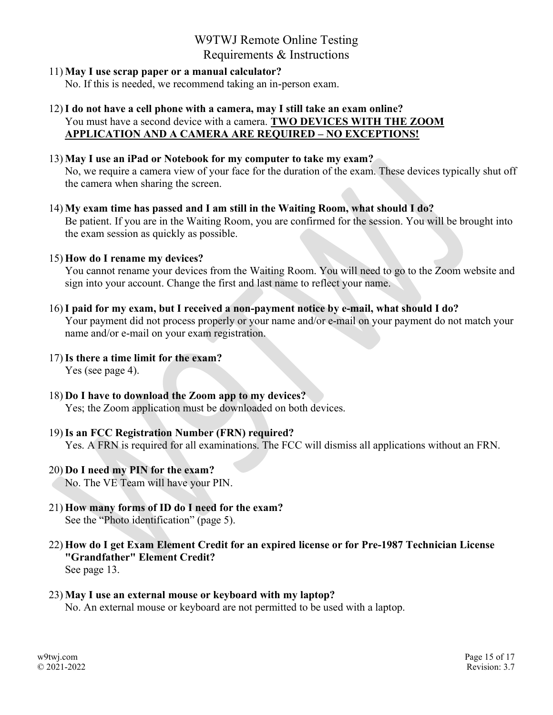## 11) May I use scrap paper or a manual calculator?

No. If this is needed, we recommend taking an in-person exam.

### 12)I do not have a cell phone with a camera, may I still take an exam online? You must have a second device with a camera. TWO DEVICES WITH THE ZOOM APPLICATION AND A CAMERA ARE REQUIRED – NO EXCEPTIONS!

### 13) May I use an iPad or Notebook for my computer to take my exam?

No, we require a camera view of your face for the duration of the exam. These devices typically shut off the camera when sharing the screen.

14) My exam time has passed and I am still in the Waiting Room, what should I do? Be patient. If you are in the Waiting Room, you are confirmed for the session. You will be brought into the exam session as quickly as possible.

### 15) How do I rename my devices?

You cannot rename your devices from the Waiting Room. You will need to go to the Zoom website and sign into your account. Change the first and last name to reflect your name.

### 16)I paid for my exam, but I received a non-payment notice by e-mail, what should I do?

Your payment did not process properly or your name and/or e-mail on your payment do not match your name and/or e-mail on your exam registration.

- 17)Is there a time limit for the exam? Yes (see page 4).
- 18) Do I have to download the Zoom app to my devices? Yes; the Zoom application must be downloaded on both devices.

### 19)Is an FCC Registration Number (FRN) required?

Yes. A FRN is required for all examinations. The FCC will dismiss all applications without an FRN.

# 20) Do I need my PIN for the exam?

No. The VE Team will have your PIN.

- 21) How many forms of ID do I need for the exam? See the "Photo identification" (page 5).
- 22) How do I get Exam Element Credit for an expired license or for Pre-1987 Technician License "Grandfather" Element Credit? See page 13.

#### 23) May I use an external mouse or keyboard with my laptop? No. An external mouse or keyboard are not permitted to be used with a laptop.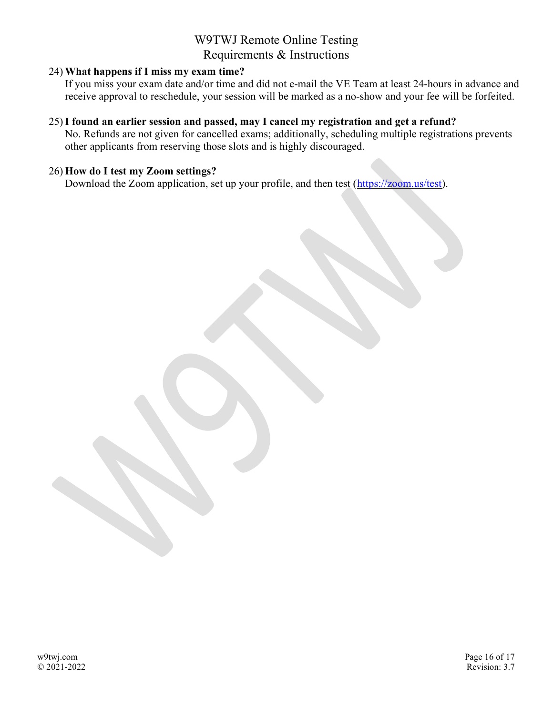#### 24) What happens if I miss my exam time?

If you miss your exam date and/or time and did not e-mail the VE Team at least 24-hours in advance and receive approval to reschedule, your session will be marked as a no-show and your fee will be forfeited.

#### 25)I found an earlier session and passed, may I cancel my registration and get a refund?

No. Refunds are not given for cancelled exams; additionally, scheduling multiple registrations prevents other applicants from reserving those slots and is highly discouraged.

#### 26) How do I test my Zoom settings?

Download the Zoom application, set up your profile, and then test (https://zoom.us/test).